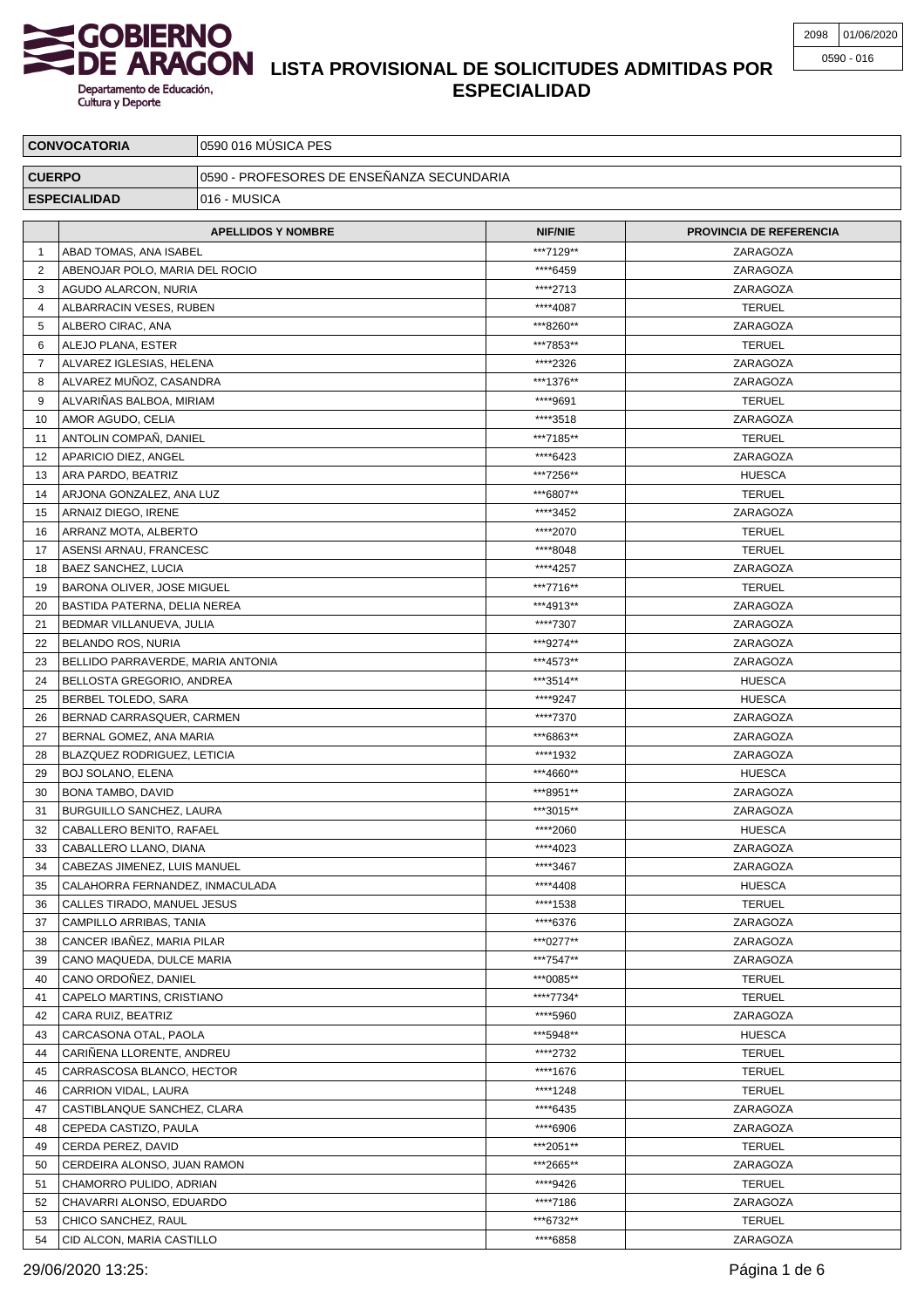

## **LISTA PROVISIONAL DE SOLICITUDES ADMITIDAS POR ESPECIALIDAD**

| <b>CONVOCATORIA</b> |                                         | 0590 016 MÚSICA PES                       |                      |                                |  |
|---------------------|-----------------------------------------|-------------------------------------------|----------------------|--------------------------------|--|
| <b>CUERPO</b>       |                                         | 0590 - PROFESORES DE ENSEÑANZA SECUNDARIA |                      |                                |  |
|                     | <b>ESPECIALIDAD</b>                     | 016 - MUSICA                              |                      |                                |  |
|                     |                                         |                                           |                      |                                |  |
|                     |                                         | <b>APELLIDOS Y NOMBRE</b>                 | <b>NIF/NIE</b>       | <b>PROVINCIA DE REFERENCIA</b> |  |
| -1                  | ABAD TOMAS, ANA ISABEL                  |                                           | ***7129**            | ZARAGOZA                       |  |
| 2                   | ABENOJAR POLO, MARIA DEL ROCIO          |                                           | ****6459             | ZARAGOZA                       |  |
| 3                   | AGUDO ALARCON, NURIA                    |                                           | ****2713<br>****4087 | ZARAGOZA                       |  |
| 4                   | ALBARRACIN VESES, RUBEN                 |                                           | ***8260**            | <b>TERUEL</b>                  |  |
| 5<br>6              | ALBERO CIRAC, ANA<br>ALEJO PLANA, ESTER |                                           | ***7853**            | ZARAGOZA                       |  |
| 7                   | ALVAREZ IGLESIAS, HELENA                |                                           | ****2326             | <b>TERUEL</b><br>ZARAGOZA      |  |
| 8                   | ALVAREZ MUÑOZ, CASANDRA                 |                                           | ***1376**            | ZARAGOZA                       |  |
| 9                   | ALVARIÑAS BALBOA, MIRIAM                |                                           | ****9691             | <b>TERUEL</b>                  |  |
| 10                  | AMOR AGUDO, CELIA                       |                                           | ****3518             | ZARAGOZA                       |  |
| 11                  | ANTOLIN COMPAÑ, DANIEL                  |                                           | ***7185**            | <b>TERUEL</b>                  |  |
| 12                  | APARICIO DIEZ, ANGEL                    |                                           | ****6423             | ZARAGOZA                       |  |
| 13                  | ARA PARDO, BEATRIZ                      |                                           | ***7256**            | <b>HUESCA</b>                  |  |
| 14                  | ARJONA GONZALEZ, ANA LUZ                |                                           | ***6807**            | <b>TERUEL</b>                  |  |
| 15                  | ARNAIZ DIEGO, IRENE                     |                                           | ****3452             | ZARAGOZA                       |  |
| 16                  | ARRANZ MOTA, ALBERTO                    |                                           | ****2070             | <b>TERUEL</b>                  |  |
| 17                  | ASENSI ARNAU, FRANCESC                  |                                           | ****8048             | <b>TERUEL</b>                  |  |
| 18                  | BAEZ SANCHEZ, LUCIA                     |                                           | ****4257             | ZARAGOZA                       |  |
| 19                  | BARONA OLIVER, JOSE MIGUEL              |                                           | ***7716**            | <b>TERUEL</b>                  |  |
| 20                  | BASTIDA PATERNA, DELIA NEREA            |                                           | ***4913**            | ZARAGOZA                       |  |
| 21                  | BEDMAR VILLANUEVA, JULIA                |                                           | ****7307             | ZARAGOZA                       |  |
| 22                  | BELANDO ROS, NURIA                      |                                           | ***9274**            | ZARAGOZA                       |  |
| 23                  | BELLIDO PARRAVERDE, MARIA ANTONIA       |                                           | ***4573**            | ZARAGOZA                       |  |
| 24                  | BELLOSTA GREGORIO, ANDREA               |                                           | ***3514**            | <b>HUESCA</b>                  |  |
| 25                  | BERBEL TOLEDO, SARA                     |                                           | ****9247             | <b>HUESCA</b>                  |  |
| 26                  | BERNAD CARRASQUER, CARMEN               |                                           | ****7370             | ZARAGOZA                       |  |
| 27                  | BERNAL GOMEZ, ANA MARIA                 |                                           | ***6863**            | ZARAGOZA                       |  |
| 28                  | BLAZQUEZ RODRIGUEZ, LETICIA             |                                           | ****1932             | ZARAGOZA                       |  |
| 29                  | <b>BOJ SOLANO, ELENA</b>                |                                           | ***4660**            | <b>HUESCA</b>                  |  |
| 30                  | BONA TAMBO, DAVID                       |                                           | ***8951**            | ZARAGOZA                       |  |
| 31                  | BURGUILLO SANCHEZ, LAURA                |                                           | ***3015**            | ZARAGOZA                       |  |
| 32                  | CABALLERO BENITO, RAFAEL                |                                           | ****2060             | <b>HUESCA</b>                  |  |
| 33                  | CABALLERO LLANO, DIANA                  |                                           | ****4023             | ZARAGOZA                       |  |
| 34                  | CABEZAS JIMENEZ, LUIS MANUEL            |                                           | ****3467             | ZARAGOZA                       |  |
| 35                  | CALAHORRA FERNANDEZ, INMACULADA         |                                           | ****4408             | <b>HUESCA</b>                  |  |
| 36                  | CALLES TIRADO, MANUEL JESUS             |                                           | ****1538             | <b>TERUEL</b>                  |  |
| 37                  | CAMPILLO ARRIBAS, TANIA                 |                                           | ****6376             | ZARAGOZA                       |  |
| 38                  | CANCER IBAÑEZ, MARIA PILAR              |                                           | ***0277**            | ZARAGOZA                       |  |
| 39                  | CANO MAQUEDA, DULCE MARIA               |                                           | ***7547**            | ZARAGOZA                       |  |
| 40                  | CANO ORDONEZ, DANIEL                    |                                           | ***0085**            | <b>TERUEL</b>                  |  |
| 41                  | CAPELO MARTINS, CRISTIANO               |                                           | ****7734*            | <b>TERUEL</b>                  |  |
| 42                  | CARA RUIZ, BEATRIZ                      |                                           | ****5960             | ZARAGOZA                       |  |
| 43                  | CARCASONA OTAL, PAOLA                   |                                           | ***5948**            | <b>HUESCA</b>                  |  |
| 44                  | CARINENA LLORENTE, ANDREU               |                                           | ****2732             | <b>TERUEL</b>                  |  |
| 45                  | CARRASCOSA BLANCO, HECTOR               |                                           | ****1676             | <b>TERUEL</b>                  |  |
| 46                  | CARRION VIDAL, LAURA                    |                                           | ****1248             | <b>TERUEL</b>                  |  |
| 47                  | CASTIBLANQUE SANCHEZ, CLARA             |                                           | ****6435             | ZARAGOZA                       |  |
| 48                  | CEPEDA CASTIZO, PAULA                   |                                           | ****6906             | ZARAGOZA                       |  |
| 49                  | CERDA PEREZ, DAVID                      |                                           | ***2051**            | <b>TERUEL</b>                  |  |
| 50                  | CERDEIRA ALONSO, JUAN RAMON             |                                           | ***2665**            | ZARAGOZA                       |  |
| 51                  | CHAMORRO PULIDO, ADRIAN                 |                                           | ****9426             | <b>TERUEL</b>                  |  |
| 52                  | CHAVARRI ALONSO, EDUARDO                |                                           | ****7186             | ZARAGOZA                       |  |
| 53                  | CHICO SANCHEZ, RAUL                     |                                           | ***6732**            | <b>TERUEL</b>                  |  |
| 54                  | CID ALCON, MARIA CASTILLO               |                                           | ****6858             | ZARAGOZA                       |  |

29/06/2020 13:25: Página 1 de 6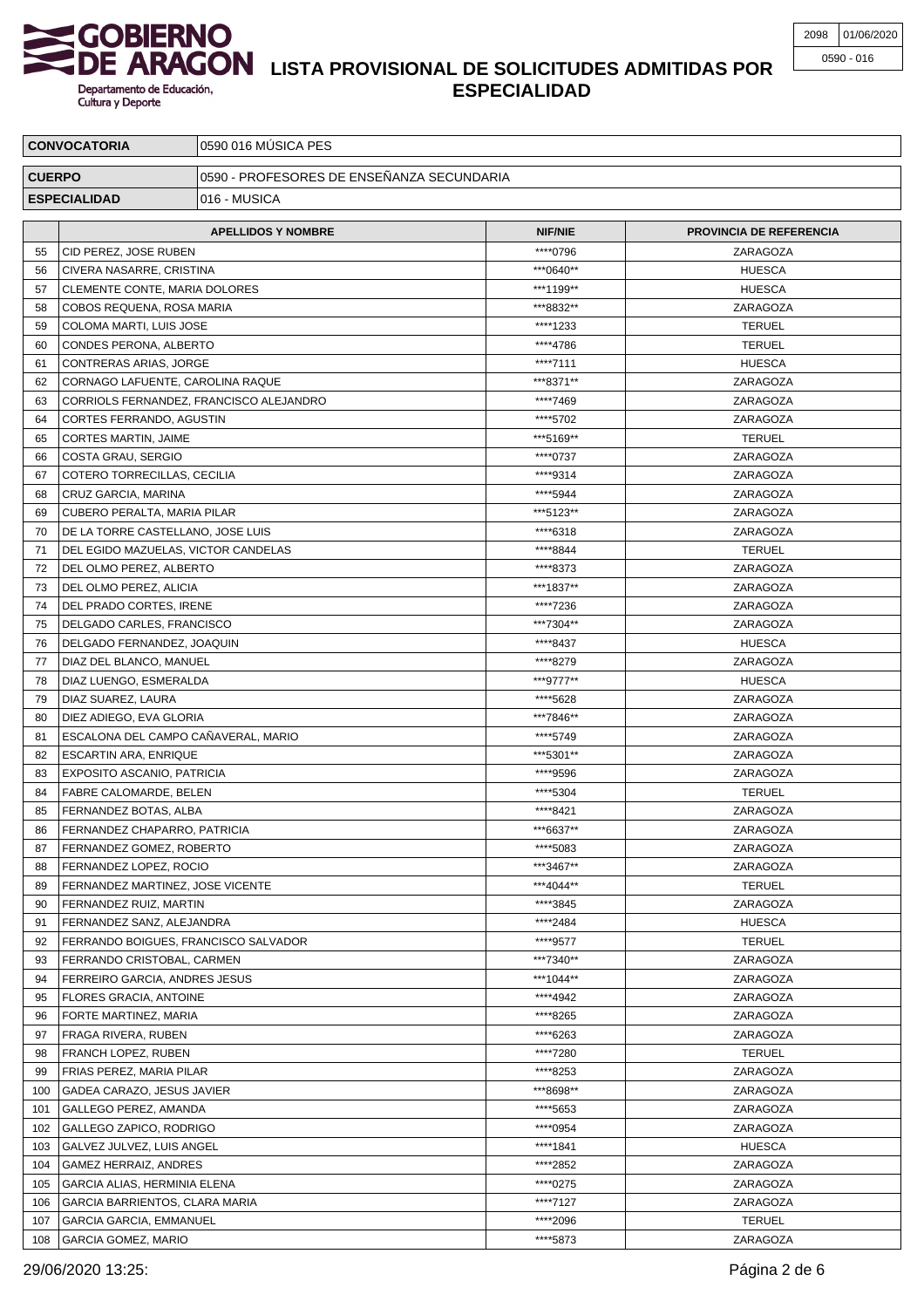# **LISTA PROVISIONAL DE SOLICITUDES ADMITIDAS POR ESPECIALIDAD**

| <b>CONVOCATORIA</b> |                                                    | 0590 016 MÚSICA PES                       |                |                                |  |  |
|---------------------|----------------------------------------------------|-------------------------------------------|----------------|--------------------------------|--|--|
| <b>CUERPO</b>       |                                                    | 0590 - PROFESORES DE ENSEÑANZA SECUNDARIA |                |                                |  |  |
|                     |                                                    |                                           |                |                                |  |  |
|                     | <b>ESPECIALIDAD</b><br>016 - MUSICA                |                                           |                |                                |  |  |
|                     |                                                    | <b>APELLIDOS Y NOMBRE</b>                 | <b>NIF/NIE</b> | <b>PROVINCIA DE REFERENCIA</b> |  |  |
| 55                  | CID PEREZ, JOSE RUBEN                              |                                           | ****0796       | ZARAGOZA                       |  |  |
| 56                  | <b>CIVERA NASARRE, CRISTINA</b>                    |                                           | ***0640**      | <b>HUESCA</b>                  |  |  |
| 57                  | CLEMENTE CONTE, MARIA DOLORES                      |                                           | ***1199**      | <b>HUESCA</b>                  |  |  |
| 58                  | COBOS REQUENA, ROSA MARIA                          |                                           | ***8832**      | ZARAGOZA                       |  |  |
| 59                  | COLOMA MARTI, LUIS JOSE                            |                                           | ****1233       | <b>TERUEL</b>                  |  |  |
| 60                  | CONDES PERONA, ALBERTO                             |                                           | ****4786       | <b>TERUEL</b>                  |  |  |
| 61                  | CONTRERAS ARIAS, JORGE                             |                                           | ****7111       | <b>HUESCA</b>                  |  |  |
| 62                  | CORNAGO LAFUENTE, CAROLINA RAQUE                   |                                           | ***8371**      | ZARAGOZA                       |  |  |
| 63                  |                                                    | CORRIOLS FERNANDEZ, FRANCISCO ALEJANDRO   | ****7469       | ZARAGOZA                       |  |  |
| 64                  | CORTES FERRANDO, AGUSTIN                           |                                           | ****5702       | ZARAGOZA                       |  |  |
| 65                  | CORTES MARTIN, JAIME                               |                                           | ***5169**      | <b>TERUEL</b>                  |  |  |
| 66                  | COSTA GRAU, SERGIO                                 |                                           | ****0737       | ZARAGOZA                       |  |  |
| 67                  | COTERO TORRECILLAS, CECILIA                        |                                           | ****9314       | ZARAGOZA                       |  |  |
| 68                  | CRUZ GARCIA, MARINA                                |                                           | ****5944       | ZARAGOZA                       |  |  |
| 69                  | CUBERO PERALTA, MARIA PILAR                        |                                           | ***5123**      | ZARAGOZA                       |  |  |
| 70                  | DE LA TORRE CASTELLANO, JOSE LUIS                  |                                           | ****6318       | ZARAGOZA                       |  |  |
| 71                  | DEL EGIDO MAZUELAS, VICTOR CANDELAS                |                                           | ****8844       | <b>TERUEL</b>                  |  |  |
| 72                  | DEL OLMO PEREZ, ALBERTO                            |                                           | ****8373       | ZARAGOZA                       |  |  |
| 73                  | DEL OLMO PEREZ, ALICIA                             |                                           | ***1837**      | ZARAGOZA                       |  |  |
| 74                  | DEL PRADO CORTES, IRENE                            |                                           | ****7236       | ZARAGOZA                       |  |  |
| 75                  | DELGADO CARLES, FRANCISCO                          |                                           | ***7304**      | ZARAGOZA                       |  |  |
| 76                  | DELGADO FERNANDEZ, JOAQUIN                         |                                           | ****8437       | <b>HUESCA</b>                  |  |  |
| 77                  | DIAZ DEL BLANCO, MANUEL                            |                                           | ****8279       | ZARAGOZA                       |  |  |
| 78                  | DIAZ LUENGO, ESMERALDA                             |                                           | ***9777**      | <b>HUESCA</b>                  |  |  |
| 79                  | DIAZ SUAREZ, LAURA                                 |                                           | ****5628       | ZARAGOZA                       |  |  |
| 80                  | DIEZ ADIEGO, EVA GLORIA                            |                                           | ***7846**      | ZARAGOZA                       |  |  |
| 81                  | ESCALONA DEL CAMPO CAÑAVERAL, MARIO                |                                           | ****5749       | ZARAGOZA                       |  |  |
| 82                  | <b>ESCARTIN ARA, ENRIQUE</b>                       |                                           | ***5301**      | ZARAGOZA                       |  |  |
| 83                  | <b>EXPOSITO ASCANIO, PATRICIA</b>                  |                                           | ****9596       | ZARAGOZA                       |  |  |
| 84                  | <b>FABRE CALOMARDE, BELEN</b>                      |                                           | ****5304       | <b>TERUEL</b>                  |  |  |
| 85                  | FERNANDEZ BOTAS, ALBA                              |                                           | ****8421       | ZARAGOZA                       |  |  |
| 86                  | FERNANDEZ CHAPARRO, PATRICIA                       |                                           | ***6637**      | ZARAGOZA                       |  |  |
| 87                  | FERNANDEZ GOMEZ, ROBERTO                           |                                           | ****5083       | ZARAGOZA                       |  |  |
| 88                  | FERNANDEZ LOPEZ, ROCIO                             |                                           | ***3467**      | ZARAGOZA                       |  |  |
| 89                  | FERNANDEZ MARTINEZ, JOSE VICENTE                   |                                           | ***4044**      | <b>TERUEL</b>                  |  |  |
| 90                  | FERNANDEZ RUIZ, MARTIN                             |                                           | ****3845       | ZARAGOZA                       |  |  |
| 91                  | FERNANDEZ SANZ, ALEJANDRA                          |                                           | ****2484       | <b>HUESCA</b>                  |  |  |
| 92                  | FERRANDO BOIGUES, FRANCISCO SALVADOR               |                                           | ****9577       | <b>TERUEL</b>                  |  |  |
| 93                  | FERRANDO CRISTOBAL, CARMEN                         |                                           | ***7340**      | ZARAGOZA                       |  |  |
| 94                  | FERREIRO GARCIA, ANDRES JESUS                      |                                           | ***1044**      | ZARAGOZA                       |  |  |
| 95                  | FLORES GRACIA, ANTOINE                             |                                           | ****4942       | ZARAGOZA                       |  |  |
| 96                  | FORTE MARTINEZ, MARIA                              |                                           | ****8265       | ZARAGOZA                       |  |  |
| 97                  | FRAGA RIVERA, RUBEN                                |                                           | ****6263       | ZARAGOZA                       |  |  |
| 98                  | FRANCH LOPEZ, RUBEN                                |                                           | ****7280       | <b>TERUEL</b>                  |  |  |
| 99                  | FRIAS PEREZ, MARIA PILAR                           |                                           | ****8253       | ZARAGOZA                       |  |  |
| 100                 | GADEA CARAZO, JESUS JAVIER                         |                                           | ***8698**      | ZARAGOZA                       |  |  |
| 101                 | GALLEGO PEREZ, AMANDA                              |                                           | ****5653       | ZARAGOZA                       |  |  |
| 102                 | GALLEGO ZAPICO, RODRIGO                            |                                           | ****0954       | ZARAGOZA                       |  |  |
| 103                 |                                                    |                                           | ****1841       | <b>HUESCA</b>                  |  |  |
| 104                 | GALVEZ JULVEZ, LUIS ANGEL<br>GAMEZ HERRAIZ, ANDRES |                                           | ****2852       | ZARAGOZA                       |  |  |
| 105                 | GARCIA ALIAS, HERMINIA ELENA                       |                                           | ****0275       | ZARAGOZA                       |  |  |
| 106                 | GARCIA BARRIENTOS, CLARA MARIA                     |                                           | ****7127       | ZARAGOZA                       |  |  |
| 107                 | <b>GARCIA GARCIA, EMMANUEL</b>                     |                                           | ****2096       | <b>TERUEL</b>                  |  |  |
| 108                 | <b>GARCIA GOMEZ, MARIO</b>                         |                                           | ****5873       | ZARAGOZA                       |  |  |

29/06/2020 13:25: Página 2 de 6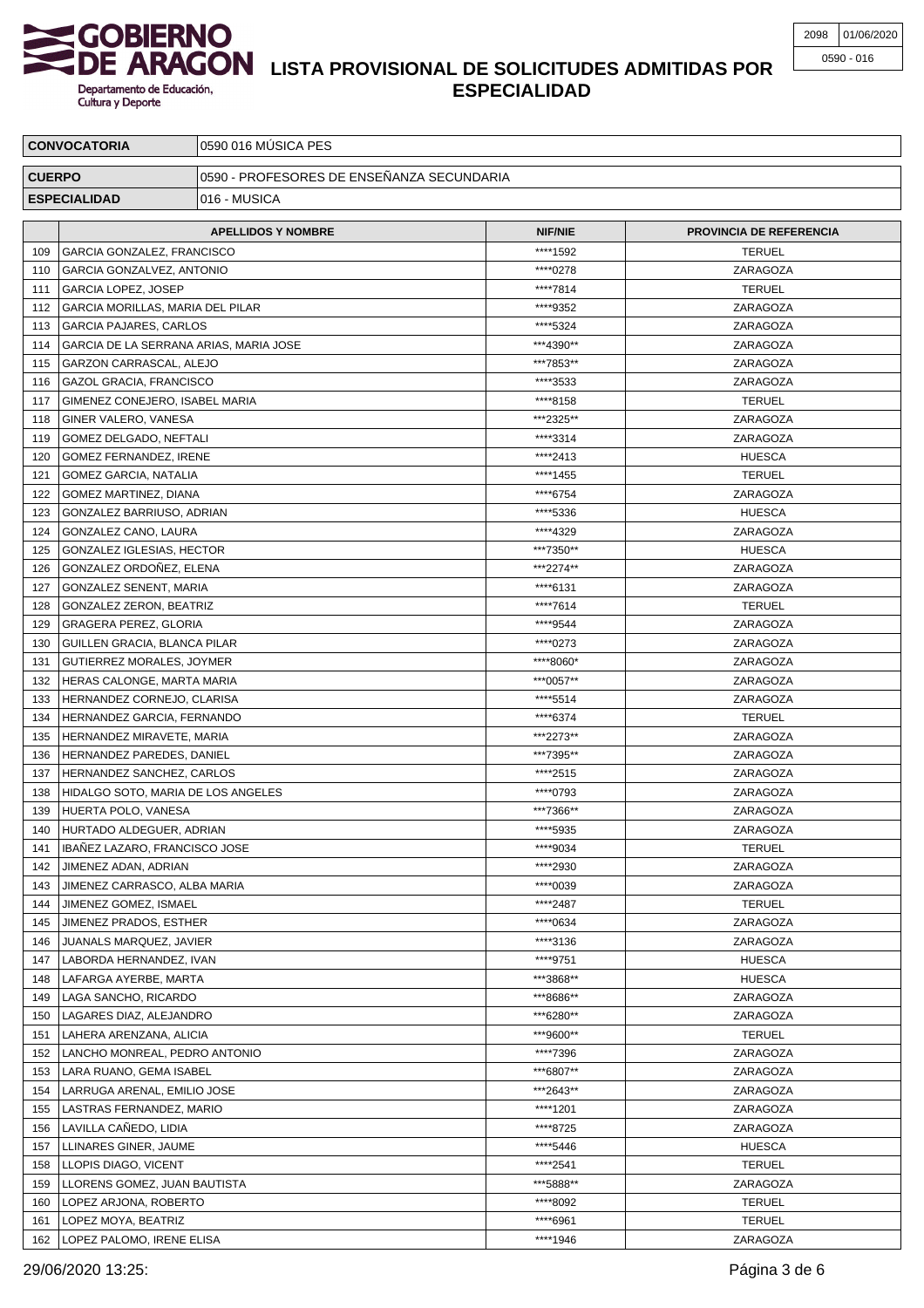

## **LISTA PROVISIONAL DE SOLICITUDES ADMITIDAS POR ESPECIALIDAD**

| <b>CONVOCATORIA</b> |                                                | 0590 016 MÚSICA PES                       |                |                         |  |  |
|---------------------|------------------------------------------------|-------------------------------------------|----------------|-------------------------|--|--|
| <b>CUERPO</b>       |                                                | 0590 - PROFESORES DE ENSEÑANZA SECUNDARIA |                |                         |  |  |
|                     | <b>ESPECIALIDAD</b>                            | 016 - MUSICA                              |                |                         |  |  |
|                     |                                                |                                           |                |                         |  |  |
|                     |                                                | <b>APELLIDOS Y NOMBRE</b>                 | <b>NIF/NIE</b> | PROVINCIA DE REFERENCIA |  |  |
| 109                 | GARCIA GONZALEZ, FRANCISCO                     |                                           | ****1592       | <b>TERUEL</b>           |  |  |
| 110                 | GARCIA GONZALVEZ, ANTONIO                      |                                           | ****0278       | ZARAGOZA                |  |  |
| 111                 | GARCIA LOPEZ, JOSEP                            |                                           | ****7814       | <b>TERUEL</b>           |  |  |
| 112                 | GARCIA MORILLAS, MARIA DEL PILAR               |                                           | ****9352       | ZARAGOZA                |  |  |
| 113                 | <b>GARCIA PAJARES, CARLOS</b>                  |                                           | ****5324       | ZARAGOZA                |  |  |
| 114                 | GARCIA DE LA SERRANA ARIAS, MARIA JOSE         |                                           | ***4390**      | ZARAGOZA                |  |  |
| 115                 | GARZON CARRASCAL, ALEJO                        |                                           | ***7853**      | ZARAGOZA                |  |  |
| 116                 | <b>GAZOL GRACIA, FRANCISCO</b>                 |                                           | ****3533       | ZARAGOZA                |  |  |
| 117                 | GIMENEZ CONEJERO, ISABEL MARIA                 |                                           | ****8158       | <b>TERUEL</b>           |  |  |
| 118                 | GINER VALERO, VANESA                           |                                           | ***2325**      | ZARAGOZA                |  |  |
| 119                 | GOMEZ DELGADO, NEFTALI                         |                                           | ****3314       | ZARAGOZA                |  |  |
| 120                 | GOMEZ FERNANDEZ, IRENE                         |                                           | ****2413       | <b>HUESCA</b>           |  |  |
| 121                 | <b>GOMEZ GARCIA, NATALIA</b>                   |                                           | ****1455       | <b>TERUEL</b>           |  |  |
| 122                 | GOMEZ MARTINEZ, DIANA                          |                                           | ****6754       | ZARAGOZA                |  |  |
| 123                 | GONZALEZ BARRIUSO, ADRIAN                      |                                           | ****5336       | <b>HUESCA</b>           |  |  |
| 124                 | GONZALEZ CANO, LAURA                           |                                           | ****4329       | ZARAGOZA                |  |  |
| 125                 | GONZALEZ IGLESIAS, HECTOR                      |                                           | ***7350**      | <b>HUESCA</b>           |  |  |
| 126                 | GONZALEZ ORDOÑEZ, ELENA                        |                                           | ***2274**      | ZARAGOZA                |  |  |
| 127                 | GONZALEZ SENENT, MARIA                         |                                           | ****6131       | ZARAGOZA                |  |  |
| 128                 | GONZALEZ ZERON, BEATRIZ                        |                                           | ****7614       | <b>TERUEL</b>           |  |  |
| 129                 | GRAGERA PEREZ, GLORIA                          |                                           | ****9544       | ZARAGOZA                |  |  |
| 130                 | GUILLEN GRACIA, BLANCA PILAR                   |                                           | ****0273       | ZARAGOZA                |  |  |
| 131                 | GUTIERREZ MORALES, JOYMER                      |                                           | *****8060*     | ZARAGOZA                |  |  |
| 132                 | HERAS CALONGE, MARTA MARIA                     |                                           | ***0057**      | ZARAGOZA                |  |  |
| 133                 | HERNANDEZ CORNEJO, CLARISA                     |                                           | ****5514       | ZARAGOZA                |  |  |
| 134                 | HERNANDEZ GARCIA, FERNANDO                     |                                           | ****6374       | <b>TERUEL</b>           |  |  |
| 135                 | HERNANDEZ MIRAVETE, MARIA                      |                                           | ***2273**      | ZARAGOZA                |  |  |
| 136                 | HERNANDEZ PAREDES, DANIEL                      |                                           | ***7395**      | ZARAGOZA                |  |  |
| 137                 | HERNANDEZ SANCHEZ, CARLOS                      |                                           | ****2515       | ZARAGOZA                |  |  |
| 138                 | HIDALGO SOTO, MARIA DE LOS ANGELES             |                                           | ****0793       | ZARAGOZA                |  |  |
| 139                 | HUERTA POLO, VANESA                            |                                           | ***7366**      | ZARAGOZA                |  |  |
|                     | 140 HURTADO ALDEGUER, ADRIAN                   |                                           | ****5935       | ZARAGOZA                |  |  |
| 141                 | <b>IBANEZ LAZARO, FRANCISCO JOSE</b>           |                                           | ****9034       | <b>TERUEL</b>           |  |  |
| 142                 | JIMENEZ ADAN, ADRIAN                           |                                           | ****2930       | ZARAGOZA                |  |  |
| 143                 | JIMENEZ CARRASCO, ALBA MARIA                   |                                           | ****0039       | ZARAGOZA                |  |  |
| 144                 | JIMENEZ GOMEZ, ISMAEL                          |                                           | ****2487       | <b>TERUEL</b>           |  |  |
| 145                 | JIMENEZ PRADOS, ESTHER                         |                                           | ****0634       | ZARAGOZA                |  |  |
| 146                 | JUANALS MARQUEZ, JAVIER                        |                                           | ****3136       | ZARAGOZA                |  |  |
| 147                 | LABORDA HERNANDEZ, IVAN                        |                                           | ****9751       | <b>HUESCA</b>           |  |  |
| 148                 | LAFARGA AYERBE, MARTA                          |                                           | ***3868**      | <b>HUESCA</b>           |  |  |
| 149                 | LAGA SANCHO, RICARDO                           |                                           | ***8686**      | ZARAGOZA                |  |  |
| 150                 | LAGARES DIAZ, ALEJANDRO                        |                                           | ***6280**      | ZARAGOZA                |  |  |
| 151                 | LAHERA ARENZANA, ALICIA                        |                                           | ***9600**      | <b>TERUEL</b>           |  |  |
| 152                 | LANCHO MONREAL, PEDRO ANTONIO                  |                                           | ****7396       | ZARAGOZA                |  |  |
| 153                 | LARA RUANO, GEMA ISABEL                        |                                           | ***6807**      | ZARAGOZA                |  |  |
| 154                 | LARRUGA ARENAL, EMILIO JOSE                    |                                           | ***2643**      | ZARAGOZA                |  |  |
| 155                 | LASTRAS FERNANDEZ, MARIO                       |                                           | ****1201       | ZARAGOZA                |  |  |
| 156                 |                                                |                                           | ****8725       | ZARAGOZA                |  |  |
| 157                 | LAVILLA CANEDO, LIDIA<br>LLINARES GINER, JAUME |                                           | ****5446       | <b>HUESCA</b>           |  |  |
| 158                 | LLOPIS DIAGO, VICENT                           |                                           | ****2541       | <b>TERUEL</b>           |  |  |
| 159                 | LLORENS GOMEZ, JUAN BAUTISTA                   |                                           | ***5888**      | ZARAGOZA                |  |  |
| 160                 | LOPEZ ARJONA, ROBERTO                          |                                           | ****8092       | <b>TERUEL</b>           |  |  |
| 161                 | LOPEZ MOYA, BEATRIZ                            |                                           | ****6961       | <b>TERUEL</b>           |  |  |
|                     |                                                |                                           | ****1946       |                         |  |  |
| 162                 | LOPEZ PALOMO, IRENE ELISA                      |                                           |                | ZARAGOZA                |  |  |

29/06/2020 13:25: Página 3 de 6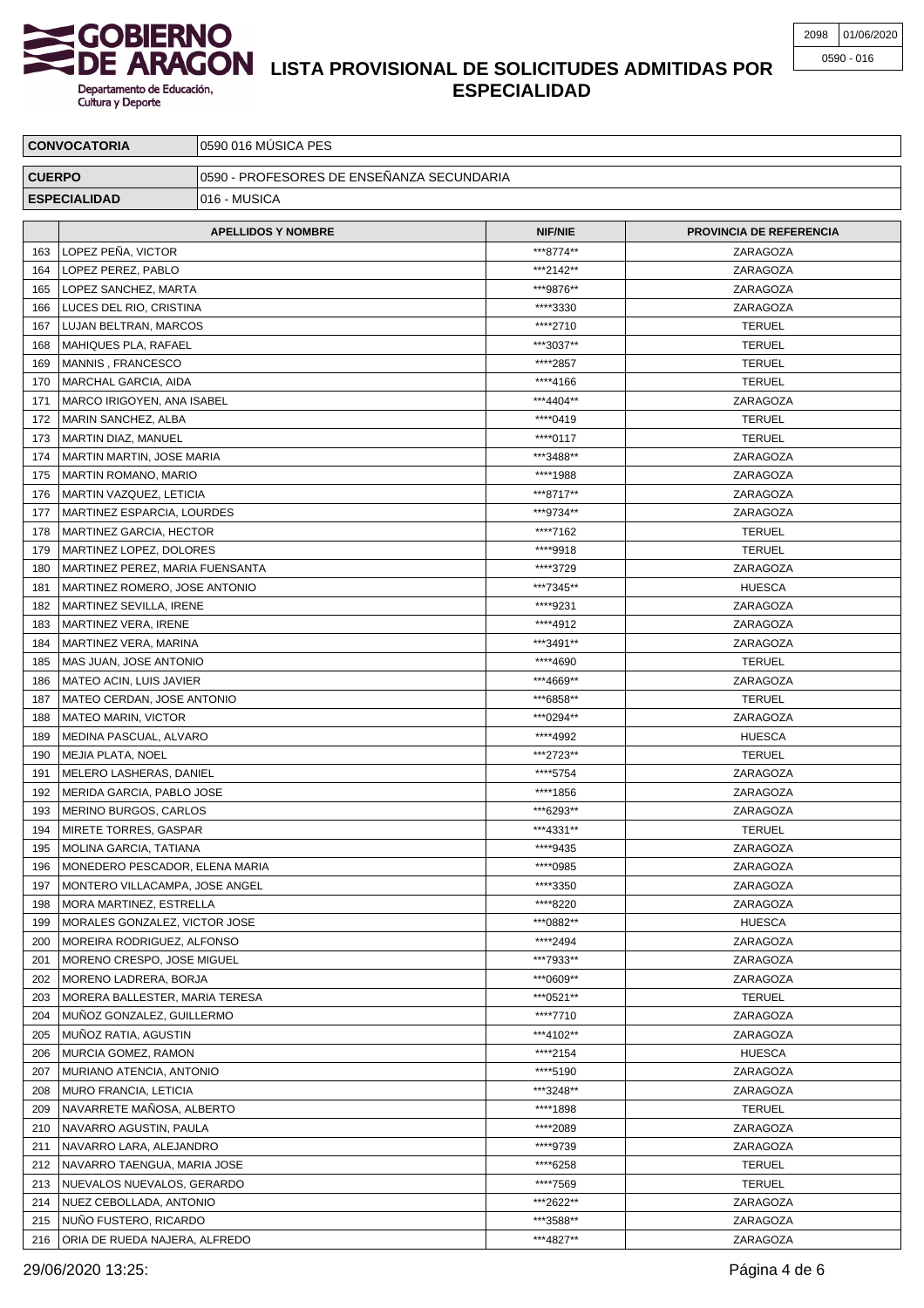# **LISTA PROVISIONAL DE SOLICITUDES ADMITIDAS POR ESPECIALIDAD**

| <b>CONVOCATORIA</b> |                                 | 0590 016 MÚSICA PES                       |                       |                                |  |  |
|---------------------|---------------------------------|-------------------------------------------|-----------------------|--------------------------------|--|--|
| <b>CUERPO</b>       |                                 | 0590 - PROFESORES DE ENSEÑANZA SECUNDARIA |                       |                                |  |  |
| <b>ESPECIALIDAD</b> |                                 | 016 - MUSICA                              |                       |                                |  |  |
|                     |                                 |                                           |                       |                                |  |  |
|                     |                                 | <b>APELLIDOS Y NOMBRE</b>                 | <b>NIF/NIE</b>        | <b>PROVINCIA DE REFERENCIA</b> |  |  |
| 163                 | LOPEZ PENA, VICTOR              |                                           | ***8774**             | ZARAGOZA                       |  |  |
| 164                 | LOPEZ PEREZ, PABLO              |                                           | ***2142**             | ZARAGOZA                       |  |  |
| 165                 | LOPEZ SANCHEZ, MARTA            |                                           | ***9876**             | ZARAGOZA                       |  |  |
| 166                 | LUCES DEL RIO, CRISTINA         |                                           | ****3330              | ZARAGOZA                       |  |  |
| 167                 | LUJAN BELTRAN, MARCOS           |                                           | ****2710              | <b>TERUEL</b>                  |  |  |
| 168                 | MAHIQUES PLA, RAFAEL            |                                           | ***3037**             | <b>TERUEL</b>                  |  |  |
| 169                 | MANNIS, FRANCESCO               |                                           | ****2857              | <b>TERUEL</b>                  |  |  |
| 170                 | MARCHAL GARCIA, AIDA            |                                           | ****4166              | <b>TERUEL</b>                  |  |  |
| 171                 | MARCO IRIGOYEN, ANA ISABEL      |                                           | ***4404**             | ZARAGOZA                       |  |  |
| 172                 | MARIN SANCHEZ, ALBA             |                                           | ****0419              | <b>TERUEL</b>                  |  |  |
| 173                 | MARTIN DIAZ, MANUEL             |                                           | ****0117              | <b>TERUEL</b>                  |  |  |
| 174                 | MARTIN MARTIN, JOSE MARIA       |                                           | ***3488**             | ZARAGOZA                       |  |  |
| 175                 | MARTIN ROMANO, MARIO            |                                           | ****1988              | ZARAGOZA                       |  |  |
| 176                 | MARTIN VAZQUEZ, LETICIA         |                                           | ***8717**             | ZARAGOZA                       |  |  |
| 177                 | MARTINEZ ESPARCIA, LOURDES      |                                           | ***9734**             | ZARAGOZA                       |  |  |
| 178                 | <b>MARTINEZ GARCIA, HECTOR</b>  |                                           | ****7162              | <b>TERUEL</b>                  |  |  |
| 179                 | MARTINEZ LOPEZ, DOLORES         |                                           | ****9918              | <b>TERUEL</b>                  |  |  |
| 180                 | MARTINEZ PEREZ, MARIA FUENSANTA |                                           | ****3729              | ZARAGOZA                       |  |  |
| 181                 | MARTINEZ ROMERO, JOSE ANTONIO   |                                           | ***7345**             | <b>HUESCA</b>                  |  |  |
| 182                 | MARTINEZ SEVILLA, IRENE         |                                           | ****9231              | ZARAGOZA                       |  |  |
| 183                 | MARTINEZ VERA, IRENE            |                                           | ****4912              | ZARAGOZA                       |  |  |
| 184                 | MARTINEZ VERA, MARINA           |                                           | ***3491**             | ZARAGOZA                       |  |  |
| 185                 | MAS JUAN, JOSE ANTONIO          |                                           | ****4690              | <b>TERUEL</b>                  |  |  |
| 186                 | MATEO ACIN, LUIS JAVIER         |                                           | ***4669**             | ZARAGOZA                       |  |  |
| 187                 | MATEO CERDAN, JOSE ANTONIO      |                                           | ***6858**             | <b>TERUEL</b>                  |  |  |
| 188                 | <b>MATEO MARIN, VICTOR</b>      |                                           | ***0294**             | ZARAGOZA                       |  |  |
| 189                 | MEDINA PASCUAL, ALVARO          |                                           | ****4992              | <b>HUESCA</b>                  |  |  |
| 190                 | MEJIA PLATA, NOEL               |                                           | ***2723**             | <b>TERUEL</b>                  |  |  |
| 191                 | MELERO LASHERAS, DANIEL         |                                           | ****5754              | ZARAGOZA                       |  |  |
| 192                 | MERIDA GARCIA, PABLO JOSE       |                                           | ****1856              | ZARAGOZA                       |  |  |
| 193                 | MERINO BURGOS, CARLOS           |                                           | ***6293**             | ZARAGOZA                       |  |  |
| 194                 | MIRETE TORRES, GASPAR           |                                           | ***4331**             | <b>TERUEL</b>                  |  |  |
| 195                 | MOLINA GARCIA, TATIANA          |                                           | ****9435              | ZARAGOZA                       |  |  |
| 196                 | MONEDERO PESCADOR, ELENA MARIA  |                                           | ****0985              | ZARAGOZA                       |  |  |
| 197                 | MONTERO VILLACAMPA, JOSE ANGEL  |                                           | ****3350              | ZARAGOZA                       |  |  |
| 198                 | MORA MARTINEZ, ESTRELLA         |                                           | ****8220              | ZARAGOZA                       |  |  |
| 199                 | MORALES GONZALEZ, VICTOR JOSE   |                                           | ***0882**             | <b>HUESCA</b>                  |  |  |
| 200                 | MOREIRA RODRIGUEZ, ALFONSO      |                                           | ****2494              | ZARAGOZA                       |  |  |
| 201                 | MORENO CRESPO, JOSE MIGUEL      |                                           | ***7933**             | ZARAGOZA                       |  |  |
| 202                 | MORENO LADRERA, BORJA           |                                           | ***0609**             | ZARAGOZA                       |  |  |
| 203                 | MORERA BALLESTER, MARIA TERESA  |                                           | ***0521**             | <b>TERUEL</b>                  |  |  |
| 204                 | MUNOZ GONZALEZ, GUILLERMO       |                                           | ****7710              | ZARAGOZA                       |  |  |
| 205                 | MUNOZ RATIA, AGUSTIN            |                                           | ***4102**             | ZARAGOZA                       |  |  |
| 206                 | MURCIA GOMEZ, RAMON             |                                           | ****2154              | <b>HUESCA</b>                  |  |  |
| 207                 | MURIANO ATENCIA, ANTONIO        |                                           | ****5190<br>***3248** | ZARAGOZA                       |  |  |
| 208                 | MURO FRANCIA, LETICIA           |                                           | ****1898              | ZARAGOZA                       |  |  |
| 209                 | NAVARRETE MAÑOSA, ALBERTO       |                                           |                       | <b>TERUEL</b>                  |  |  |
| 210                 | NAVARRO AGUSTIN, PAULA          |                                           | ****2089              | ZARAGOZA                       |  |  |
| 211                 | NAVARRO LARA, ALEJANDRO         |                                           | ****9739              | ZARAGOZA                       |  |  |
| 212                 | NAVARRO TAENGUA, MARIA JOSE     |                                           | ****6258              | <b>TERUEL</b>                  |  |  |
| 213                 | NUEVALOS NUEVALOS, GERARDO      |                                           | ****7569              | <b>TERUEL</b>                  |  |  |
| 214                 | NUEZ CEBOLLADA, ANTONIO         |                                           | ***2622**             | ZARAGOZA                       |  |  |
| 215                 | NUÑO FUSTERO, RICARDO           |                                           | ***3588**             | ZARAGOZA                       |  |  |
| 216                 | ORIA DE RUEDA NAJERA, ALFREDO   |                                           | ***4827**             | ZARAGOZA                       |  |  |

29/06/2020 13:25: Página 4 de 6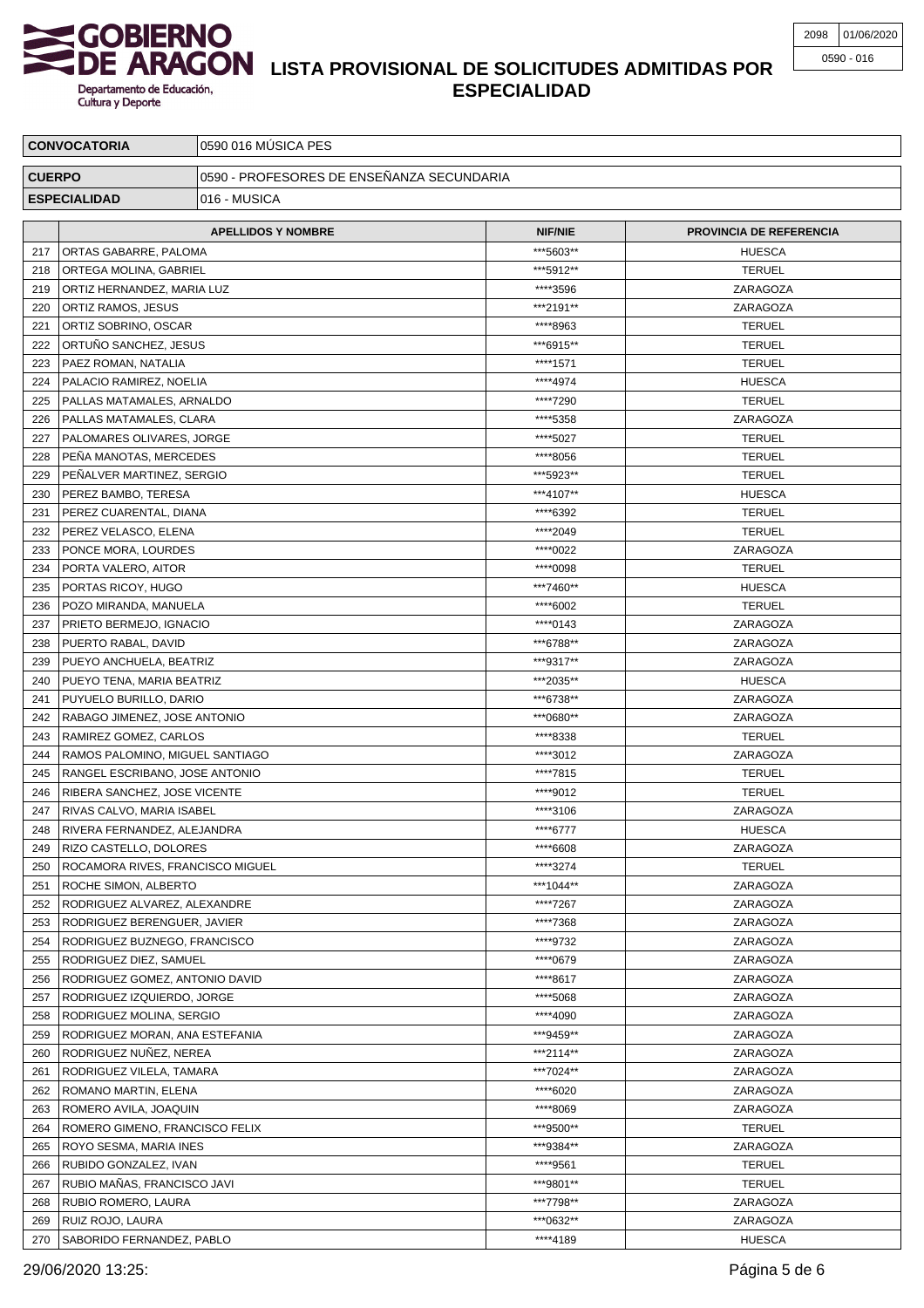

# **LISTA PROVISIONAL DE SOLICITUDES ADMITIDAS POR ESPECIALIDAD**

| <b>CONVOCATORIA</b> |                                  | 0590 016 MÚSICA PES                       |                |                                |  |
|---------------------|----------------------------------|-------------------------------------------|----------------|--------------------------------|--|
| <b>CUERPO</b>       |                                  | 0590 - PROFESORES DE ENSEÑANZA SECUNDARIA |                |                                |  |
| <b>ESPECIALIDAD</b> |                                  | 016 - MUSICA                              |                |                                |  |
|                     |                                  |                                           |                |                                |  |
|                     |                                  | <b>APELLIDOS Y NOMBRE</b>                 | <b>NIF/NIE</b> | <b>PROVINCIA DE REFERENCIA</b> |  |
| 217                 | ORTAS GABARRE, PALOMA            |                                           | ***5603**      | <b>HUESCA</b>                  |  |
| 218                 | ORTEGA MOLINA, GABRIEL           |                                           | ***5912**      | <b>TERUEL</b>                  |  |
| 219                 | ORTIZ HERNANDEZ, MARIA LUZ       |                                           | ****3596       | ZARAGOZA                       |  |
| 220                 | ORTIZ RAMOS, JESUS               |                                           | ***2191**      | ZARAGOZA                       |  |
| 221                 | ORTIZ SOBRINO, OSCAR             |                                           | ****8963       | <b>TERUEL</b>                  |  |
| 222                 | ORTUNO SANCHEZ, JESUS            |                                           | ***6915**      | <b>TERUEL</b>                  |  |
| 223                 | PAEZ ROMAN, NATALIA              |                                           | ****1571       | <b>TERUEL</b>                  |  |
| 224                 | PALACIO RAMIREZ, NOELIA          |                                           | ****4974       | <b>HUESCA</b>                  |  |
| 225                 | PALLAS MATAMALES, ARNALDO        |                                           | ****7290       | <b>TERUEL</b>                  |  |
| 226                 | PALLAS MATAMALES, CLARA          |                                           | ****5358       | ZARAGOZA                       |  |
| 227                 | PALOMARES OLIVARES, JORGE        |                                           | ****5027       | <b>TERUEL</b>                  |  |
| 228                 | PEÑA MANOTAS, MERCEDES           |                                           | ****8056       | <b>TERUEL</b>                  |  |
| 229                 | PENALVER MARTINEZ, SERGIO        |                                           | ***5923**      | <b>TERUEL</b>                  |  |
| 230                 | PEREZ BAMBO, TERESA              |                                           | ***4107**      | <b>HUESCA</b>                  |  |
| 231                 | PEREZ CUARENTAL, DIANA           |                                           | ****6392       | <b>TERUEL</b>                  |  |
| 232                 | PEREZ VELASCO, ELENA             |                                           | ****2049       | <b>TERUEL</b>                  |  |
| 233                 | PONCE MORA, LOURDES              |                                           | ****0022       | ZARAGOZA                       |  |
| 234                 | PORTA VALERO, AITOR              |                                           | ****0098       | <b>TERUEL</b>                  |  |
| 235                 | PORTAS RICOY, HUGO               |                                           | ***7460**      | <b>HUESCA</b>                  |  |
| 236                 | POZO MIRANDA, MANUELA            |                                           | ****6002       | <b>TERUEL</b>                  |  |
| 237                 | PRIETO BERMEJO, IGNACIO          |                                           | ****0143       | ZARAGOZA                       |  |
| 238                 | PUERTO RABAL, DAVID              |                                           | ***6788**      | ZARAGOZA                       |  |
| 239                 | PUEYO ANCHUELA, BEATRIZ          |                                           | ***9317**      | ZARAGOZA                       |  |
| 240                 | PUEYO TENA, MARIA BEATRIZ        |                                           | ***2035**      | <b>HUESCA</b>                  |  |
| 241                 | PUYUELO BURILLO, DARIO           |                                           | ***6738**      | ZARAGOZA                       |  |
| 242                 | RABAGO JIMENEZ, JOSE ANTONIO     |                                           | ***0680**      | ZARAGOZA                       |  |
| 243                 | RAMIREZ GOMEZ, CARLOS            |                                           | ****8338       | <b>TERUEL</b>                  |  |
| 244                 | RAMOS PALOMINO, MIGUEL SANTIAGO  |                                           | ****3012       | ZARAGOZA                       |  |
| 245                 | RANGEL ESCRIBANO, JOSE ANTONIO   |                                           | ****7815       | <b>TERUEL</b>                  |  |
| 246                 | RIBERA SANCHEZ, JOSE VICENTE     |                                           | ****9012       | <b>TERUEL</b>                  |  |
| 247                 | RIVAS CALVO, MARIA ISABEL        |                                           | ****3106       | ZARAGOZA                       |  |
| 248                 | RIVERA FERNANDEZ, ALEJANDRA      |                                           | ****6777       | <b>HUESCA</b>                  |  |
| 249                 | RIZO CASTELLO, DOLORES           |                                           | ****6608       | ZARAGOZA                       |  |
| 250                 | ROCAMORA RIVES, FRANCISCO MIGUEL |                                           | ****3274       | <b>TERUEL</b>                  |  |
| 251                 | ROCHE SIMON, ALBERTO             |                                           | ***1044**      | ZARAGOZA                       |  |
| 252                 | RODRIGUEZ ALVAREZ, ALEXANDRE     |                                           | ****7267       | ZARAGOZA                       |  |
| 253                 | RODRIGUEZ BERENGUER, JAVIER      |                                           | ****7368       | ZARAGOZA                       |  |
| 254                 | RODRIGUEZ BUZNEGO, FRANCISCO     |                                           | ****9732       | ZARAGOZA                       |  |
| 255                 | RODRIGUEZ DIEZ, SAMUEL           |                                           | ****0679       | ZARAGOZA                       |  |
| 256                 | RODRIGUEZ GOMEZ, ANTONIO DAVID   |                                           | ****8617       | ZARAGOZA                       |  |
| 257                 | RODRIGUEZ IZQUIERDO, JORGE       |                                           | ****5068       | ZARAGOZA                       |  |
| 258                 | RODRIGUEZ MOLINA, SERGIO         |                                           | ****4090       | ZARAGOZA                       |  |
| 259                 | RODRIGUEZ MORAN, ANA ESTEFANIA   |                                           | ***9459**      | ZARAGOZA                       |  |
| 260                 | RODRIGUEZ NUNEZ, NEREA           |                                           | ***2114**      | ZARAGOZA                       |  |
| 261                 | RODRIGUEZ VILELA, TAMARA         |                                           | ***7024**      | ZARAGOZA                       |  |
| 262                 | ROMANO MARTIN, ELENA             |                                           | ****6020       | ZARAGOZA                       |  |
| 263                 | ROMERO AVILA, JOAQUIN            |                                           | ****8069       | ZARAGOZA                       |  |
| 264                 | ROMERO GIMENO, FRANCISCO FELIX   |                                           | ***9500**      | <b>TERUEL</b>                  |  |
| 265                 | ROYO SESMA, MARIA INES           |                                           | ***9384**      | ZARAGOZA                       |  |
| 266                 | RUBIDO GONZALEZ, IVAN            |                                           | ****9561       | <b>TERUEL</b>                  |  |
| 267                 | RUBIO MAÑAS, FRANCISCO JAVI      |                                           | ***9801**      | <b>TERUEL</b>                  |  |
| 268                 | RUBIO ROMERO, LAURA              |                                           | ***7798**      | ZARAGOZA                       |  |
| 269                 | RUIZ ROJO, LAURA                 |                                           | ***0632**      | ZARAGOZA                       |  |
|                     | 270   SABORIDO FERNANDEZ, PABLO  |                                           | ****4189       | <b>HUESCA</b>                  |  |

29/06/2020 13:25: Página 5 de 6